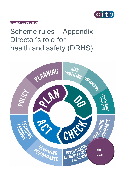

**SITE SAFETY PLUS**

# Scheme rules – Appendix I Director's role for health and safety (DRHS)

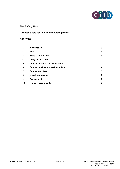

# **Site Safety Plus**

# **Director's role for health and safety (DRHS)**

# **Appendix I**

| 1.  | <b>Introduction</b>               | 3 |
|-----|-----------------------------------|---|
| 2.  | <b>Aims</b>                       | 3 |
| 3.  | <b>Entry requirements</b>         | 3 |
| 4.  | Delegate numbers                  | 4 |
| 5.  | Course duration and attendance    | 4 |
| 6.  | Course publications and materials | 4 |
| 7.  | <b>Course exercises</b>           | 5 |
| 8.  | <b>Learning outcomes</b>          | 6 |
| 9.  | <b>Assessment</b>                 | 6 |
| 10. | <b>Trainer requirements</b>       | 8 |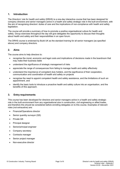## **1. Introduction**

The *Directors' role for health and safety* (DRHS) is a one-day interactive course that has been designed for company directors and senior managers active in a health and safety strategic role in the built environment, with the aim of recognising directors' duties of care and the implications of non-compliance with health and safety legislation.

The course will provide a summary of how to promote a positive organisational culture for health and safety. Group exercises throughout the day will give delegates the opportunity to discuss their thoughts about health and safety and their responsibilities in an open forum.

The DRHS course is endorsed by Build UK as the standard training for all senior managers (as specified above) and company directors.

## **2. Aims**

The course aims to help directors to:

- recognise the moral, economic and legal costs and implications of decisions made in the boardroom that may make their business liable
- understand the significance of strategic management of risks
- appreciate the range of consequences from failing to manage health and safety effectively
- understand the importance of competent duty holders, and the significance of their cooperation, communication and coordination of health and safety on projects
- recognise the need to appoint competent health and safety assistance, and the limitations of such an appointment, and
- identify the basic tools to introduce a proactive health and safety culture into an organisation, and the benefits of this approach.

## **3. Entry requirements**

This course has been developed for directors and senior managers active in a health and safety strategic role in the built environment from any organisational size in construction, civil engineering or allied trades, and therefore this should be considered before enrolling delegates on to this course. Examples of relevant roles (not exhaustive) are:

- Financial/Operations director
- Senior quantity surveyor (QS)
- Private QS
- Principal designer
- Senior/principal engineer
- Company secretary
- Contracts manager
- Senior project manager
- Non-executive director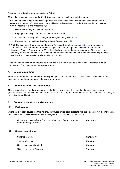Delegates must be able to demonstrate the following:

1) **EITHER** previously completed a CITB Director's Role for Health and Safety course

**OR** working knowledge of the following health and safety legislation with the anticipation that course content and the end of course assessment will require delegates to consider these legislations in context with a director's role and responsibility:

- Health and Safety at Work etc. Act 1974
- Employers' Liability (Compulsory Insurance) Act 1969
- Construction (Design and Management) Regulations (CDM) 2015
- Management of Health and Safety at Work Regulations 1999.
- 2) **AND** Completion of the pre-course eLearning (accessed via [http://ecourses.citb.co.uk\)](http://ecourses.citb.co.uk/). Successful completion of this component generates a digital certificate, a copy of which must be sent to the Approved Training Organisation (ATO) at least 24 hours before the commencement of the main course and may be subject to audit. The ATO must ensure copies of certificates are retained for audit purposes and that the course results form is updated accordingly.

Delegates should hold, or be about to hold, the role of director or strategic senior role. Delegates must be competent in English at senior management level.

## **4. Delegate numbers**

The minimum and maximum number of delegates per course is four and 12, respectively. The minimum and maximum delegate numbers are not subject to an appeal.

## **5. Course duration and attendance**

This is a one-day course. Delegates are required to complete the full course, i.e. the pre-course eLearning (maximum expected completion time 1.5 hours), course delivery and the end of course assessment (7.5 hours), to be eligible for certification.

## **6. Course publications and materials**

## **6.1. Publications**

At the start of each course the training provider must provide each delegate with their own copy of the mandatory publication, which will be retained by the delegate upon completion of the course.

| Construction site safety – The comprehensive guide, A: Legal and | <b>Mandatory</b> |
|------------------------------------------------------------------|------------------|
| management (GE700A <sup>s</sup> )                                |                  |

## **6.2. Supporting materials**

| Scheme of work           | <b>Mandatory</b> |
|--------------------------|------------------|
| Trainer reference        | <b>Mandatory</b> |
| Course exercises handout | <b>Mandatory</b> |
| What do you know? papers | <b>Optional</b>  |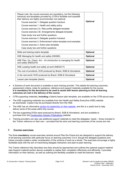| Please note: the course exercises are mandatory, but the following<br>handouts and templates provided by CITB to facilitate and expedite<br>their delivery are highly recommended, but optional. |                 |
|--------------------------------------------------------------------------------------------------------------------------------------------------------------------------------------------------|-----------------|
| Course exercise 1. Delegate question handout                                                                                                                                                     | <b>Optional</b> |
| Course exercise 1. Health and safety policy                                                                                                                                                      |                 |
| Course exercise 2.A. Risk profile delegate template                                                                                                                                              |                 |
| Course exercise 2.B. Arrangements delegate template                                                                                                                                              |                 |
| Case study one and further questions                                                                                                                                                             |                 |
| Course exercise 3. Delegate question handout                                                                                                                                                     |                 |
| Course exercise 3. Enforcement notice template and examples                                                                                                                                      |                 |
| Course exercise 3. Action plan template                                                                                                                                                          |                 |
| Case study two and further questions                                                                                                                                                             |                 |
| Skills and training matrix template                                                                                                                                                              | <b>Optional</b> |
| HSE Managing for health and safety (HSG65)                                                                                                                                                       | <b>Optional</b> |
| HSE Plan, Do, Check, Act – An introduction to managing for health<br>and safety (INDG275)                                                                                                        | <b>Optional</b> |
| HSE Leading health and safety at work (INDG417)                                                                                                                                                  | <b>Optional</b> |
| The cost of accidents, DVD produced by Brand, SGB & Hünnebeck                                                                                                                                    | <b>Optional</b> |
| In the real world, DVD produced by Brand, SGB & Hünnebeck                                                                                                                                        | <b>Optional</b> |
| Lesson plan template (blank)                                                                                                                                                                     | <b>Optional</b> |

- A Scheme of work document is available to each training provider. This details the learning outcomes, assessment criteria, notes for guidance, reference and support materials available for the course. **It is mandatory for the document to be used to assist with lesson planning so that all learning outcomes are met in the delivery of the course.**
- CITB supporting materials**, including** a (blank) lesson plan template, are available on the CITB secure area.
- The HSE supporting materials are available from the Health and Safety Executive (HSE) website as downloads. Copies may be purchased directly from the HSE.
- The HSE has an informative [section for leadership on their](https://www.hse.gov.uk/leadership/) website, and this is a useful tool to help deliver some of the areas within this course.
- The two supporting DVDs were produced by Brand, SGB & Hünnebeck, and are available to purchase from the [Construction Industry Publications](https://www.cip-books.com/product/special-offer-the-cost-of-accidents-in-the-real-world-dvds) website.
- Training providers can also use additional support materials to meet the delegates' needs those included in the *Trainer reference* or their own – provided that the aims and learning outcomes of the course are met.

## **7. Course exercises**

The three **mandatory** course exercises centred around Plan-Do-Check-Act are designed to support the delivery of all learning outcomes with particular focus on learning outcomes 3 to 6, though the delegate questions and trainer prompts enable a wider consideration of the scheme of work as a whole. The exercises encourage a highly facilitated style with the aim of maximising delegate interaction and peer-to-peer learning.

The Trainer reference fully describes how they should be approached and outlines the optional support material (see Support material section above) available to realise their completion effectively and efficiently. It provides information on their delivery, as well as outlining the flexibility available to meet the learners' needs.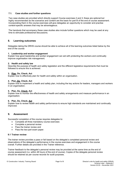## **7.1. Case studies and further questions**

Two case studies are provided which directly support Course exercises 2 and 3; these are optional but highly recommended as the scenarios and content are the basis for part B of the end of course assessment. Incorporating them in the course exercises will give delegates an opportunity to consider and practise context-specific answers that may be advantageous.

The handouts that accompany these case studies also include further questions which may be used at any time to stimulate professional discussions.

## **8. Learning outcomes**

Delegates taking the DRHS course should be able to achieve all of the learning outcomes listed below by the end of the course:

## **1. Leadership and worker engagement**

Explain how good leadership and worker engagement can aid with protecting the workers and continually improve organisation risk management.

## **2. Health and safety law**

Describe the purpose of health and safety legislation and the different legislative requirements that must be followed to ensure this is achieved.

## **3. Plan, Do, Check, Act**

Explain how to effectively plan for health and safety within an organisation.

## **4. Plan, Do, Check, Act**

Explain how to implement a health and safety plan, including the key actions for leaders, managers and workers in an organisation.

## **5. Plan, Do, Check, Act**

Explain how to monitor the effectiveness of health and safety arrangements and measure performance in an organisation.

## **6. Plan, Do, Check, Act**

Explain how to review health and safety performance to ensure high standards are maintained and continually improved.

## **9. Assessment**

Successful completion of the course requires delegates to:

- Complete all three mandatory course exercises
- Complete a personal review
- Pass the trainer review and
- Pass the two-part exam paper.

## **9.1 Trainer review**

The trainer review provides a pass or fail based on the delegate's completed personal review and observations of the delegate's performance in the course exercises and engagement in the course overall. Further details are provided in the Trainer reference.

Trainer feedback to the delegate's personal review may be provided at the same time as the end of course assessment (i.e. within 48 hours of the end of course). Copies of the delegate personal review should be retained as per course records for audit purposes.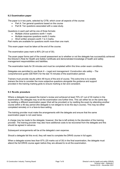## **9.2 Examination paper**

The paper is in two parts, selected by CITB, which cover all aspects of the course:

- Part A: Ten general questions based on the course
- Part B: Ten questions associated with a case study.

Questions in each part will be one of three formats:

- Multiple choice questions worth 1 mark
- Multiple response questions worth 2 marks
- Short written answers worth 1 to 3 marks.

Part marks are available for questions worth more than one mark.

This exam paper must be taken at the end of the course.

The examination pass mark is 80% (24 out of 30).

The exam paper forms part of the overall assessment as to whether or not the delegate has successfully achieved the Director's Role for Health and Safety Certificate and demonstrated knowledge of health and safety management responsibilities and liabilities.

The examination lasts for 35 minutes and must be completed within this time under exam conditions.

Delegates are permitted to use *Book A – Legal and management: Construction site safety – The comprehensive guide* (GE700A*<sup>s</sup>*) for the last 15 minutes of the examination period.

Trainers must provide results within 48 hours of the end of course. This extra time is to enable trainers the time to consider the more subjective questions alongside the guidance and support provided in the training marking grids to ensure marking is fair and consistent.

## **9.3 Re-sits procedure**

Where a delegate has passed the trainer's review and achieved at least 70% (21 out of 30 marks) in the examination, the delegate may re-sit the examination one further time. This can either be on the same day by resitting a different examination paper (that will be provided) or by resitting the exam by attending another course within a 90 day period (the delegate is not obliged to re-do the day's course). This may be either completed remotely or in a face-to-face setting.

The training provider must make the arrangements with the delegate and ensure that the same examination paper is not used twice.

A charge may be made to the delegate; however, this fee is left entirely to the discretion of the training provider. The training provider may also have additional costs to be recovered from the delegate and this should be agreed in advance.

Subsequent arrangements will be at the delegate's own expense.

Should a delegate fail this re-sit, they will need to complete the DRHS course in full again.

When a delegate scores less than 67% (20 marks out of 30) in the final examination, the delegate must attend the full DRHS course again before they are allowed to re-sit the examination.